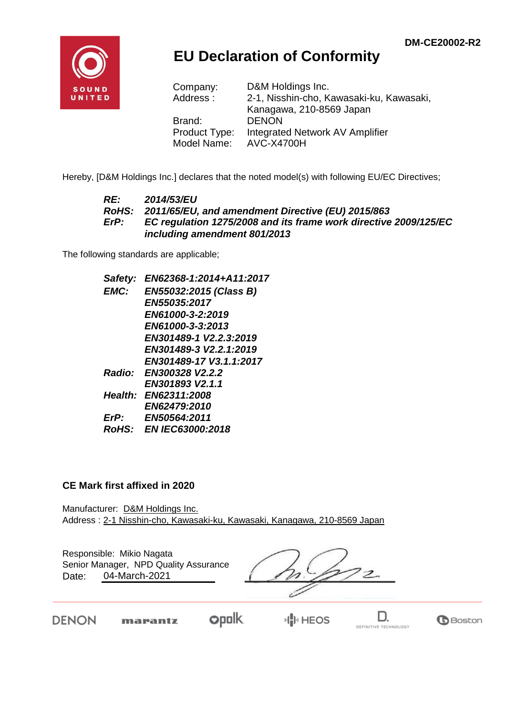

## **EU Declaration of Conformity**

| Company:      | D&M Holdings Inc.                        |
|---------------|------------------------------------------|
| Address:      | 2-1, Nisshin-cho, Kawasaki-ku, Kawasaki, |
|               | Kanagawa, 210-8569 Japan                 |
| Brand:        | <b>DENON</b>                             |
| Product Type: | Integrated Network AV Amplifier          |
| Model Name:   | <b>AVC-X4700H</b>                        |

Hereby, [D&M Holdings Inc.] declares that the noted model(s) with following EU/EC Directives;

#### *RE: 2014/53/EU RoHS: 2011/65/EU, and amendment Directive (EU) 2015/863 ErP: EC regulation 1275/2008 and its frame work directive 2009/125/EC including amendment 801/2013*

The following standards are applicable;

*Safety: EN62368-1:2014+A11:2017 EMC: EN55032:2015 (Class B) EN55035:2017 EN61000-3-2:2019 EN61000-3-3:2013 EN301489-1 V2.2.3:2019 EN301489-3 V2.2.1:2019 EN301489-17 V3.1.1:2017 Radio: EN300328 V2.2.2 EN301893 V2.1.1 Health: EN62311:2008 EN62479:2010 ErP: EN50564:2011 RoHS: EN IEC63000:2018*

#### **CE Mark first affixed in 2020**

Manufacturer: D&M Holdings Inc. Address : 2-1 Nisshin-cho, Kawasaki-ku, Kawasaki, Kanagawa, 210-8569 Japan

Responsible: Mikio Nagata Date: 04-March-2021 Senior Manager, NPD Quality Assurance

 $\overline{\mathcal{Z}}$ 

DENON

**opolk** marantz

D. DEFINITIVE TECHNOLOGY

**B**Boston